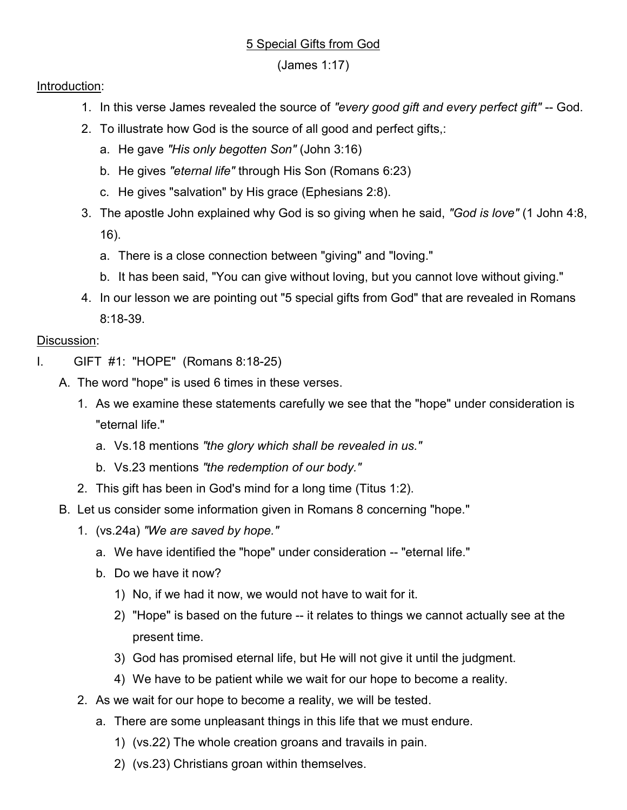### 5 Special Gifts from God

### (James 1:17)

#### Introduction:

- 1. In this verse James revealed the source of "every good gift and every perfect gift" -- God.
- 2. To illustrate how God is the source of all good and perfect gifts,:
	- a. He gave "His only begotten Son" (John 3:16)
	- b. He gives "eternal life" through His Son (Romans 6:23)
	- c. He gives "salvation" by His grace (Ephesians 2:8).
- 3. The apostle John explained why God is so giving when he said, "God is love" (1 John 4:8, 16).
	- a. There is a close connection between "giving" and "loving."
	- b. It has been said, "You can give without loving, but you cannot love without giving."
- 4. In our lesson we are pointing out "5 special gifts from God" that are revealed in Romans 8:18-39.

# Discussion:

- I. GIFT #1: "HOPE" (Romans 8:18-25)
	- A. The word "hope" is used 6 times in these verses.
		- 1. As we examine these statements carefully we see that the "hope" under consideration is "eternal life."
			- a. Vs.18 mentions "the glory which shall be revealed in us."
			- b. Vs.23 mentions "the redemption of our body."
		- 2. This gift has been in God's mind for a long time (Titus 1:2).
	- B. Let us consider some information given in Romans 8 concerning "hope."
		- 1. (vs.24a) "We are saved by hope."
			- a. We have identified the "hope" under consideration -- "eternal life."
			- b. Do we have it now?
				- 1) No, if we had it now, we would not have to wait for it.
				- 2) "Hope" is based on the future -- it relates to things we cannot actually see at the present time.
				- 3) God has promised eternal life, but He will not give it until the judgment.
				- 4) We have to be patient while we wait for our hope to become a reality.
		- 2. As we wait for our hope to become a reality, we will be tested.
			- a. There are some unpleasant things in this life that we must endure.
				- 1) (vs.22) The whole creation groans and travails in pain.
				- 2) (vs.23) Christians groan within themselves.